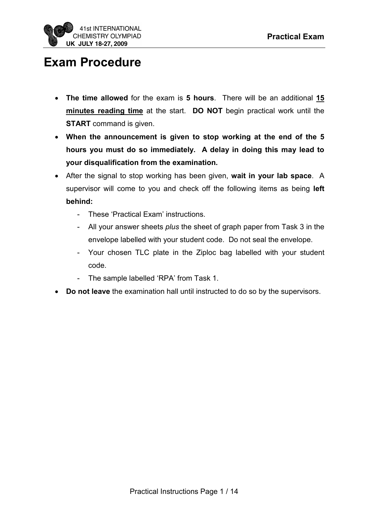## **Exam Procedure**

- **The time allowed** for the exam is **5 hours**. There will be an additional **15 minutes reading time** at the start. **DO NOT** begin practical work until the **START** command is given.
- **When the announcement is given to stop working at the end of the 5 hours you must do so immediately. A delay in doing this may lead to your disqualification from the examination.**
- After the signal to stop working has been given, **wait in your lab space**. A supervisor will come to you and check off the following items as being **left behind:** 
	- These 'Practical Exam' instructions.

- All your answer sheets *plus* the sheet of graph paper from Task 3 in the envelope labelled with your student code. Do not seal the envelope.
- Your chosen TLC plate in the Ziploc bag labelled with your student code.
- The sample labelled 'RPA' from Task 1.
- **Do not leave** the examination hall until instructed to do so by the supervisors.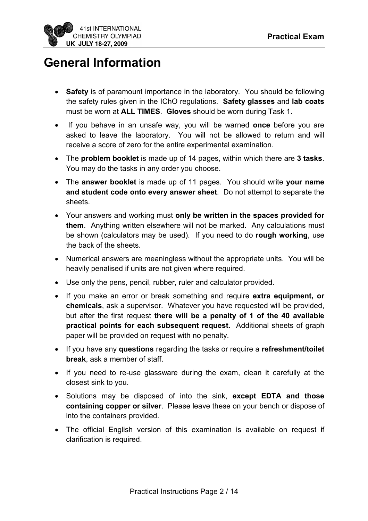

# **General Information**

- **Safety** is of paramount importance in the laboratory. You should be following the safety rules given in the IChO regulations. **Safety glasses** and **lab coats** must be worn at **ALL TIMES**. **Gloves** should be worn during Task 1.
- If you behave in an unsafe way, you will be warned **once** before you are asked to leave the laboratory. You will not be allowed to return and will receive a score of zero for the entire experimental examination.
- The **problem booklet** is made up of 14 pages, within which there are **3 tasks**. You may do the tasks in any order you choose.
- The **answer booklet** is made up of 11 pages. You should write **your name and student code onto every answer sheet**. Do not attempt to separate the sheets.
- Your answers and working must **only be written in the spaces provided for them**. Anything written elsewhere will not be marked. Any calculations must be shown (calculators may be used). If you need to do **rough working**, use the back of the sheets.
- Numerical answers are meaningless without the appropriate units. You will be heavily penalised if units are not given where required.
- Use only the pens, pencil, rubber, ruler and calculator provided.
- If you make an error or break something and require **extra equipment, or chemicals**, ask a supervisor.Whatever you have requested will be provided, but after the first request **there will be a penalty of 1 of the 40 available practical points for each subsequent request.** Additional sheets of graph paper will be provided on request with no penalty.
- If you have any **questions** regarding the tasks or require a **refreshment/toilet break**, ask a member of staff.
- If you need to re-use glassware during the exam, clean it carefully at the closest sink to you.
- Solutions may be disposed of into the sink, **except EDTA and those containing copper or silver**. Please leave these on your bench or dispose of into the containers provided.
- The official English version of this examination is available on request if clarification is required.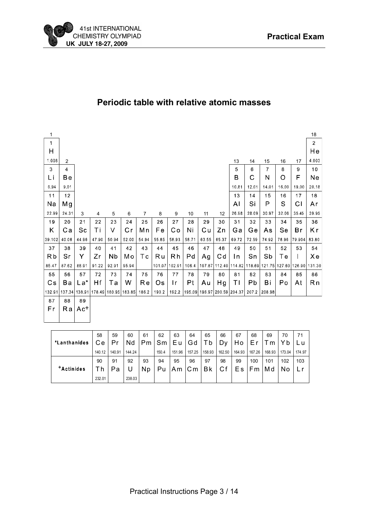

| 1                      |                |       |                |       |               |                |       |               |       |       |                             |       |       |                                    |       |                | 18             |
|------------------------|----------------|-------|----------------|-------|---------------|----------------|-------|---------------|-------|-------|-----------------------------|-------|-------|------------------------------------|-------|----------------|----------------|
| 1                      |                |       |                |       |               |                |       |               |       |       |                             |       |       |                                    |       |                | $\overline{c}$ |
| H                      |                |       |                |       |               |                |       |               |       |       |                             |       |       |                                    |       |                | He             |
| 1.008                  | $\overline{2}$ |       |                |       |               |                |       |               |       |       |                             | 13    | 14    | 15                                 | 16    | 17             | 4 0 0 3        |
| 3                      | $\overline{4}$ |       |                |       |               |                |       |               |       |       |                             | 5     | 6     | 7                                  | 8     | 9              | 10             |
| Li                     | Вe             |       |                |       |               |                |       |               |       |       |                             | B     | Ć     | N                                  | O     | F              | Ne             |
| 6.94                   | 9.01           |       |                |       |               |                |       |               |       |       |                             | 10.81 | 12.01 | 14.01                              | 16 00 | 19.00          | 20.18          |
| 11                     | 12             |       |                |       |               |                |       |               |       |       |                             | 13    | 14    | 15                                 | 16    | 17             | 18             |
| Na                     | Мg             |       |                |       |               |                |       |               |       |       |                             | ΑI    | Si    | P                                  | S     | C <sub>1</sub> | Ar             |
| 22.99                  | 24 31          | 3     | $\overline{4}$ | 5     | 6             | $\overline{7}$ | 8     | 9             | 10    | 11    | 12                          | 26.98 | 28.09 | 3097                               | 32 06 | 35 45          | 39.95          |
| 19                     | 20             | 21    | 22             | 23    | 24            | 25             | 26    | 27            | 28    | 29    | 30                          | 31    | 32    | 33                                 | 34    | 35             | 36             |
| Κ                      | Ca             | Sc    | Τi             | V     | Cr            | Мn             | Fe    | C٥            | Ni    | Cu    | Zn                          | Ga    | Ge    | As                                 | Se    | Βr             | Κr             |
| 39.102                 | 40.08          | 44.96 | 4790           | 50.94 | 52.00         | 54 94          | 55 85 | 5893          | 58.71 | 63 55 | 65 37                       | 6972  | 72.59 | 74.92                              | 78.96 | 79.904         | 83 80          |
| 37                     | 38             | 39    | 40             | 41    | 42            | 43             | 44    | 45            | 46    | 47    | 48                          | 49    | 50    | 51                                 | 52    | 53             | 54             |
| R b                    | Sr             | Y     | Zr             | Nb    | Мo            | Тc             | Ru    | Rh            | Pd    | Ag    | Cd                          | In.   | Sn    | Sb                                 | Тe    |                | Хe             |
| 85 47                  | 87.62          | 88.91 | 91 22          | 92.91 | 95 94         |                |       | 101 07 102 91 | 1064  |       |                             |       |       | 107 87 112 40 114 82 118 69 121 75 |       | 127 60 126 90  | 131.30         |
| 55                     | 56             | 57    | 72             | 73    | 74            | 75             | 76    | 77            | 78    | 79    | 80                          | 81    | 82    | 83                                 | 84    | 85             | 86             |
| $\mathsf{C}\mathbf{s}$ | Ba             | La*   | Ηf             | Тa    | W             | Re             | Os    | <u>Ir</u>     | Pt    | Au    | Hg                          | ΤI    | Рb    | Вi                                 | Po    | At             | Rn             |
| 132.91                 | 137 34         |       | 138 91 178 49  |       | 180 95 183 85 | 1862           | 1902  | 192.2         |       |       | 195 09 196 97 200 59 204 37 |       | 207.2 | 208.98                             |       |                |                |
| 87                     | 88             | 89    |                |       |               |                |       |               |       |       |                             |       |       |                                    |       |                |                |
| Fr                     | Ra             | $Ac+$ |                |       |               |                |       |               |       |       |                             |       |       |                                    |       |                |                |
|                        |                |       |                |       |               |                |       |               |       |       |                             |       |       |                                    |       |                |                |

#### **Periodic table with relative atomic masses**

| *Lanthanides           | 58<br>Сe | 59<br>Pr | 60<br>Nd | 61<br>Pm  | 62<br>Sm | 63<br>Eu | 64<br>Gd | 65<br>Тb | 66<br>Dv | 67<br>Ho | 68<br>Er | 69<br>m | 70     | 71     |
|------------------------|----------|----------|----------|-----------|----------|----------|----------|----------|----------|----------|----------|---------|--------|--------|
|                        | 140.12   | 140.91   | 144.24   |           | 150.4    | 151.96   | 157.25   | 158.93   | 162.50   | 164.93   | 167.26   | 168.93  | 173.04 | 174.97 |
|                        | 90       | 91       | 92       | 93        | 94       | 95       | 96       | 97       | 98       | 99       | 100      | 101     | 102    | 103    |
| <sup>+</sup> Actinides | Тh       | Pa       | U        | <b>Np</b> | Pu       | Am       | $ C_m $  | Βk       | Сf       | Es       | Fm       | Md      | No     |        |
|                        | 232.01   |          | 238.03   |           |          |          |          |          |          |          |          |         |        |        |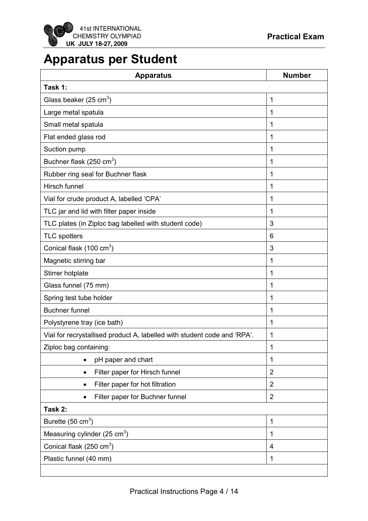

# **Apparatus per Student**

| <b>Apparatus</b>                                                         | <b>Number</b>           |  |  |  |  |  |
|--------------------------------------------------------------------------|-------------------------|--|--|--|--|--|
| Task 1:                                                                  |                         |  |  |  |  |  |
| Glass beaker (25 $cm3$ )                                                 | 1                       |  |  |  |  |  |
| Large metal spatula                                                      | 1                       |  |  |  |  |  |
| Small metal spatula                                                      | 1                       |  |  |  |  |  |
| Flat ended glass rod                                                     | 1                       |  |  |  |  |  |
| Suction pump                                                             | 1                       |  |  |  |  |  |
| Buchner flask (250 cm <sup>3</sup> )                                     | 1                       |  |  |  |  |  |
| Rubber ring seal for Buchner flask                                       | 1                       |  |  |  |  |  |
| Hirsch funnel                                                            | 1                       |  |  |  |  |  |
| Vial for crude product A, labelled 'CPA'                                 | 1                       |  |  |  |  |  |
| TLC jar and lid with filter paper inside                                 | 1                       |  |  |  |  |  |
| TLC plates (in Ziploc bag labelled with student code)                    | 3                       |  |  |  |  |  |
| <b>TLC</b> spotters                                                      | 6                       |  |  |  |  |  |
| Conical flask (100 cm <sup>3</sup> )                                     | 3                       |  |  |  |  |  |
| Magnetic stirring bar                                                    | 1                       |  |  |  |  |  |
| Stirrer hotplate                                                         | 1                       |  |  |  |  |  |
| Glass funnel (75 mm)                                                     | 1                       |  |  |  |  |  |
| Spring test tube holder                                                  | 1                       |  |  |  |  |  |
| <b>Buchner funnel</b>                                                    | 1                       |  |  |  |  |  |
| Polystyrene tray (ice bath)                                              | 1                       |  |  |  |  |  |
| Vial for recrystallised product A, labelled with student code and 'RPA'. | 1                       |  |  |  |  |  |
| Ziploc bag containing:                                                   | 1                       |  |  |  |  |  |
| pH paper and chart                                                       | 1                       |  |  |  |  |  |
| Filter paper for Hirsch funnel<br>$\bullet$                              | $\overline{2}$          |  |  |  |  |  |
| Filter paper for hot filtration                                          | $\overline{2}$          |  |  |  |  |  |
| Filter paper for Buchner funnel                                          | $\overline{2}$          |  |  |  |  |  |
| Task 2:                                                                  |                         |  |  |  |  |  |
| Burette $(50 \text{ cm}^3)$                                              | $\mathbf{1}$            |  |  |  |  |  |
| Measuring cylinder $(25 \text{ cm}^3)$                                   | 1                       |  |  |  |  |  |
| Conical flask $(250 \text{ cm}^3)$                                       | $\overline{\mathbf{4}}$ |  |  |  |  |  |
| Plastic funnel (40 mm)                                                   | 1                       |  |  |  |  |  |
|                                                                          |                         |  |  |  |  |  |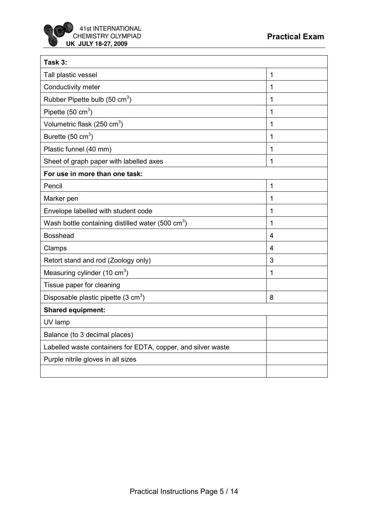

| Task 3:                                                      |              |
|--------------------------------------------------------------|--------------|
| Tall plastic vessel                                          | 1            |
| Conductivity meter                                           | $\mathbf{1}$ |
| Rubber Pipette bulb (50 $cm3$ )                              | 1            |
| Pipette $(50 \text{ cm}^3)$                                  | 1            |
| Volumetric flask (250 cm <sup>3</sup> )                      | 1            |
| Burette $(50 \text{ cm}^3)$                                  | $\mathbf{1}$ |
| Plastic funnel (40 mm)                                       | 1            |
| Sheet of graph paper with labelled axes                      | 1            |
| For use in more than one task:                               |              |
| Pencil                                                       | 1            |
| Marker pen                                                   | 1            |
| Envelope labelled with student code                          | 1            |
| Wash bottle containing distilled water (500 $\text{cm}^3$ )  | 1            |
| <b>Bosshead</b>                                              | 4            |
| Clamps                                                       | 4            |
| Retort stand and rod (Zoology only)                          | 3            |
| Measuring cylinder $(10 \text{ cm}^3)$                       | 1            |
| Tissue paper for cleaning                                    |              |
| Disposable plastic pipette $(3 \text{ cm}^3)$                | 8            |
| <b>Shared equipment:</b>                                     |              |
| UV lamp                                                      |              |
| Balance (to 3 decimal places)                                |              |
| Labelled waste containers for EDTA, copper, and silver waste |              |
| Purple nitrile gloves in all sizes                           |              |
|                                                              |              |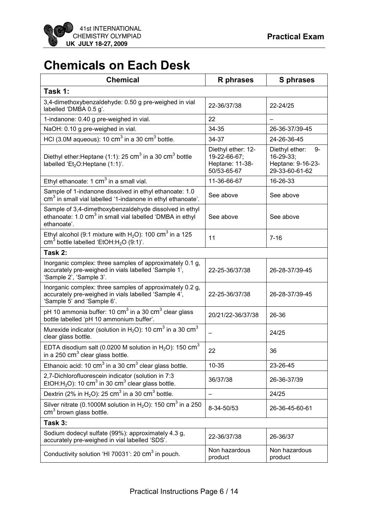

## **Chemicals on Each Desk**

| <b>Chemical</b>                                                                                                                                | R phrases                                                            | S phrases                                                                |  |
|------------------------------------------------------------------------------------------------------------------------------------------------|----------------------------------------------------------------------|--------------------------------------------------------------------------|--|
| Task 1:                                                                                                                                        |                                                                      |                                                                          |  |
| 3,4-dimethoxybenzaldehyde: 0.50 g pre-weighed in vial<br>labelled 'DMBA 0.5 g'.                                                                | 22-36/37/38                                                          | 22-24/25                                                                 |  |
| 1-indanone: 0.40 g pre-weighed in vial.                                                                                                        | 22                                                                   |                                                                          |  |
| NaOH: 0.10 g pre-weighed in vial.                                                                                                              | 34-35                                                                | 26-36-37/39-45                                                           |  |
| HCl (3.0M aqueous): 10 $cm3$ in a 30 $cm3$ bottle.                                                                                             | 34-37                                                                | 24-26-36-45                                                              |  |
| Diethyl ether: Heptane (1:1): 25 $cm3$ in a 30 $cm3$ bottle<br>labelled 'Et <sub>2</sub> O:Heptane (1:1)'.                                     | Diethyl ether: 12-<br>19-22-66-67;<br>Heptane: 11-38-<br>50/53-65-67 | Diethyl ether:<br>9-<br>16-29-33;<br>Heptane: 9-16-23-<br>29-33-60-61-62 |  |
| Ethyl ethanoate: 1 $cm3$ in a small vial.                                                                                                      | 11-36-66-67                                                          | 16-26-33                                                                 |  |
| Sample of 1-indanone dissolved in ethyl ethanoate: 1.0<br>$\text{cm}^3$ in small vial labelled '1-indanone in ethyl ethanoate'.                | See above                                                            | See above                                                                |  |
| Sample of 3,4-dimethoxybenzaldehyde dissolved in ethyl<br>ethanoate: 1.0 cm <sup>3</sup> in small vial labelled 'DMBA in ethyl<br>ethanoate'.  | See above                                                            | See above                                                                |  |
| Ethyl alcohol (9:1 mixture with $H_2O$ ): 100 cm <sup>3</sup> in a 125<br>$cm3$ bottle labelled 'EtOH:H <sub>2</sub> O (9:1)'.                 | 11                                                                   | $7 - 16$                                                                 |  |
| Task 2:                                                                                                                                        |                                                                      |                                                                          |  |
| Inorganic complex: three samples of approximately 0.1 g,<br>accurately pre-weighed in vials labelled 'Sample 1',<br>'Sample 2', 'Sample 3'.    | 22-25-36/37/38                                                       | 26-28-37/39-45                                                           |  |
| Inorganic complex: three samples of approximately 0.2 g,<br>accurately pre-weighed in vials labelled 'Sample 4',<br>'Sample 5' and 'Sample 6'. | 22-25-36/37/38                                                       | 26-28-37/39-45                                                           |  |
| pH 10 ammonia buffer: 10 cm <sup>3</sup> in a 30 cm <sup>3</sup> clear glass<br>bottle labelled 'pH 10 ammonium buffer'.                       | 20/21/22-36/37/38                                                    | 26-36                                                                    |  |
| Murexide indicator (solution in $H_2O$ ): 10 cm <sup>3</sup> in a 30 cm <sup>3</sup><br>clear glass bottle.                                    |                                                                      | 24/25                                                                    |  |
| EDTA disodium salt (0.0200 M solution in $H_2O$ ): 150 cm <sup>3</sup><br>in a 250 $cm3$ clear glass bottle.                                   | 22                                                                   | 36                                                                       |  |
| Ethanoic acid: 10 $cm3$ in a 30 $cm3$ clear glass bottle.                                                                                      | $10 - 35$                                                            | 23-26-45                                                                 |  |
| 2,7-Dichlorofluorescein indicator (solution in 7:3<br>EtOH:H <sub>2</sub> O): 10 cm <sup>3</sup> in 30 cm <sup>3</sup> clear glass bottle.     | 36/37/38                                                             | 26-36-37/39                                                              |  |
| Dextrin (2% in H <sub>2</sub> O): 25 cm <sup>3</sup> in a 30 cm <sup>3</sup> bottle.                                                           |                                                                      | 24/25                                                                    |  |
| Silver nitrate (0.1000M solution in $H_2O$ ): 150 cm <sup>3</sup> in a 250<br>$cm3$ brown glass bottle.                                        | 8-34-50/53                                                           | 26-36-45-60-61                                                           |  |
| Task 3:                                                                                                                                        |                                                                      |                                                                          |  |
| Sodium dodecyl sulfate (99%): approximately 4.3 g,<br>accurately pre-weighed in vial labelled 'SDS'.                                           | 22-36/37/38                                                          | 26-36/37                                                                 |  |
| Conductivity solution 'HI 70031': 20 cm <sup>3</sup> in pouch.                                                                                 | Non hazardous<br>product                                             | Non hazardous<br>product                                                 |  |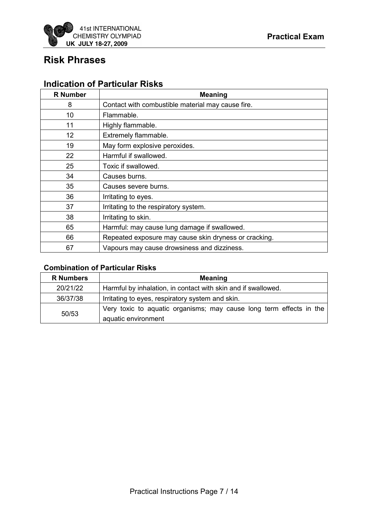

#### **Risk Phrases**

#### **Indication of Particular Risks**

| <b>R</b> Number | <b>Meaning</b>                                        |  |  |  |  |
|-----------------|-------------------------------------------------------|--|--|--|--|
| 8               | Contact with combustible material may cause fire.     |  |  |  |  |
| 10              | Flammable.                                            |  |  |  |  |
| 11              | Highly flammable.                                     |  |  |  |  |
| 12              | Extremely flammable.                                  |  |  |  |  |
| 19              | May form explosive peroxides.                         |  |  |  |  |
| 22              | Harmful if swallowed.                                 |  |  |  |  |
| 25              | Toxic if swallowed.                                   |  |  |  |  |
| 34              | Causes burns.                                         |  |  |  |  |
| 35              | Causes severe burns.                                  |  |  |  |  |
| 36              | Irritating to eyes.                                   |  |  |  |  |
| 37              | Irritating to the respiratory system.                 |  |  |  |  |
| 38              | Irritating to skin.                                   |  |  |  |  |
| 65              | Harmful: may cause lung damage if swallowed.          |  |  |  |  |
| 66              | Repeated exposure may cause skin dryness or cracking. |  |  |  |  |
| 67              | Vapours may cause drowsiness and dizziness.           |  |  |  |  |

#### **Combination of Particular Risks**

| <b>R</b> Numbers | <b>Meaning</b>                                                                             |  |  |  |  |  |  |
|------------------|--------------------------------------------------------------------------------------------|--|--|--|--|--|--|
| 20/21/22         | Harmful by inhalation, in contact with skin and if swallowed.                              |  |  |  |  |  |  |
| 36/37/38         | Irritating to eyes, respiratory system and skin.                                           |  |  |  |  |  |  |
| 50/53            | Very toxic to aquatic organisms; may cause long term effects in the<br>aquatic environment |  |  |  |  |  |  |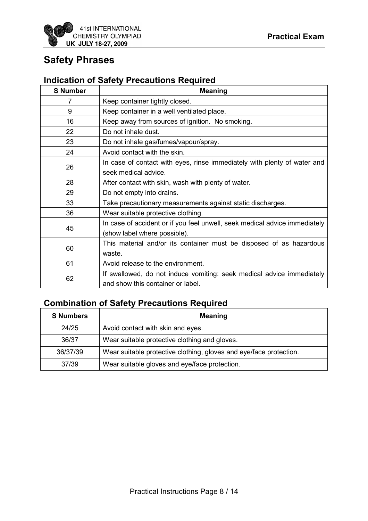### **Safety Phrases**

### **Indication of Safety Precautions Required**

| <b>S Number</b> | <b>Meaning</b>                                                             |  |  |  |  |
|-----------------|----------------------------------------------------------------------------|--|--|--|--|
| 7               | Keep container tightly closed.                                             |  |  |  |  |
| 9               | Keep container in a well ventilated place.                                 |  |  |  |  |
| 16              | Keep away from sources of ignition. No smoking.                            |  |  |  |  |
| 22              | Do not inhale dust.                                                        |  |  |  |  |
| 23              | Do not inhale gas/fumes/vapour/spray.                                      |  |  |  |  |
| 24              | Avoid contact with the skin.                                               |  |  |  |  |
|                 | In case of contact with eyes, rinse immediately with plenty of water and   |  |  |  |  |
| 26              | seek medical advice.                                                       |  |  |  |  |
| 28              | After contact with skin, wash with plenty of water.                        |  |  |  |  |
| 29              | Do not empty into drains.                                                  |  |  |  |  |
| 33              | Take precautionary measurements against static discharges.                 |  |  |  |  |
| 36              | Wear suitable protective clothing.                                         |  |  |  |  |
|                 | In case of accident or if you feel unwell, seek medical advice immediately |  |  |  |  |
| 45              | (show label where possible).                                               |  |  |  |  |
| 60              | This material and/or its container must be disposed of as hazardous        |  |  |  |  |
|                 | waste.                                                                     |  |  |  |  |
| 61              | Avoid release to the environment.                                          |  |  |  |  |
| 62              | If swallowed, do not induce vomiting: seek medical advice immediately      |  |  |  |  |
|                 | and show this container or label.                                          |  |  |  |  |

## **Combination of Safety Precautions Required**

| <b>S</b> Numbers | <b>Meaning</b>                                                     |
|------------------|--------------------------------------------------------------------|
| 24/25            | Avoid contact with skin and eyes.                                  |
| 36/37            | Wear suitable protective clothing and gloves.                      |
| 36/37/39         | Wear suitable protective clothing, gloves and eye/face protection. |
| 37/39            | Wear suitable gloves and eye/face protection.                      |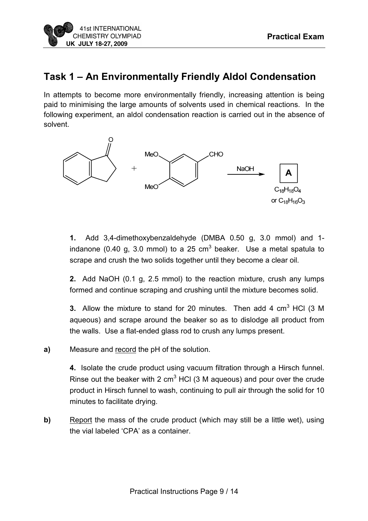### **Task 1 – An Environmentally Friendly Aldol Condensation**

In attempts to become more environmentally friendly, increasing attention is being paid to minimising the large amounts of solvents used in chemical reactions. In the following experiment, an aldol condensation reaction is carried out in the absence of solvent.



**1.** Add 3,4-dimethoxybenzaldehyde (DMBA 0.50 g, 3.0 mmol) and 1 indanone (0.40 g, 3.0 mmol) to a 25 cm<sup>3</sup> beaker. Use a metal spatula to scrape and crush the two solids together until they become a clear oil.

**2.** Add NaOH (0.1 g, 2.5 mmol) to the reaction mixture, crush any lumps formed and continue scraping and crushing until the mixture becomes solid.

**3.** Allow the mixture to stand for 20 minutes. Then add 4  $\text{cm}^3$  HCl (3 M aqueous) and scrape around the beaker so as to dislodge all product from the walls. Use a flat-ended glass rod to crush any lumps present.

**a)** Measure and record the pH of the solution.

**4.** Isolate the crude product using vacuum filtration through a Hirsch funnel. Rinse out the beaker with 2 cm<sup>3</sup> HCI (3 M aqueous) and pour over the crude product in Hirsch funnel to wash, continuing to pull air through the solid for 10 minutes to facilitate drying.

**b)** Report the mass of the crude product (which may still be a little wet), using the vial labeled 'CPA' as a container.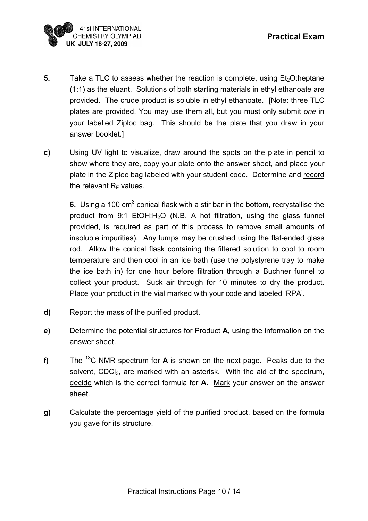- **5.** Take a TLC to assess whether the reaction is complete, using Et<sub>2</sub>O;heptane (1:1) as the eluant. Solutions of both starting materials in ethyl ethanoate are provided. The crude product is soluble in ethyl ethanoate. [Note: three TLC plates are provided. You may use them all, but you must only submit *one* in your labelled Ziploc bag. This should be the plate that you draw in your answer booklet.]
- **c)** Using UV light to visualize, draw around the spots on the plate in pencil to show where they are, copy your plate onto the answer sheet, and place your plate in the Ziploc bag labeled with your student code. Determine and record the relevant  $R_F$  values.

**6.** Using a 100 cm<sup>3</sup> conical flask with a stir bar in the bottom, recrystallise the product from  $9:1$  EtOH:H<sub>2</sub>O (N.B. A hot filtration, using the glass funnel provided, is required as part of this process to remove small amounts of insoluble impurities). Any lumps may be crushed using the flat-ended glass rod. Allow the conical flask containing the filtered solution to cool to room temperature and then cool in an ice bath (use the polystyrene tray to make the ice bath in) for one hour before filtration through a Buchner funnel to collect your product. Suck air through for 10 minutes to dry the product. Place your product in the vial marked with your code and labeled 'RPA'.

- **d)** Report the mass of the purified product.
- **e)** Determine the potential structures for Product **A**, using the information on the answer sheet.
- **f)** The <sup>13</sup>C NMR spectrum for **A** is shown on the next page. Peaks due to the solvent, CDCI<sub>3</sub>, are marked with an asterisk. With the aid of the spectrum, decide which is the correct formula for **A**. Mark your answer on the answer sheet.
- **g)** Calculate the percentage yield of the purified product, based on the formula you gave for its structure.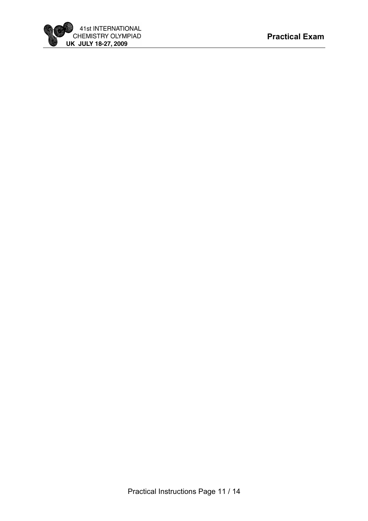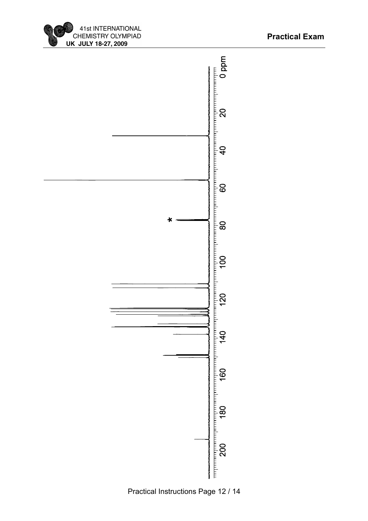



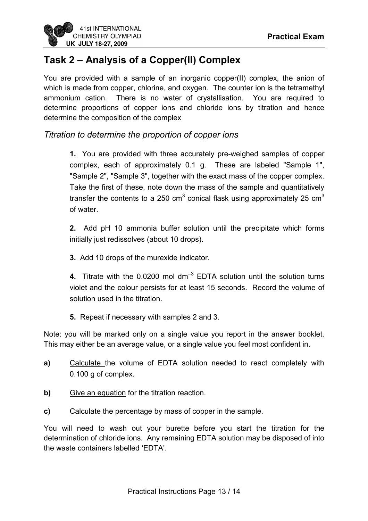

### **Task 2 – Analysis of a Copper(II) Complex**

You are provided with a sample of an inorganic copper(II) complex, the anion of which is made from copper, chlorine, and oxygen. The counter ion is the tetramethyl ammonium cation. There is no water of crystallisation. You are required to determine proportions of copper ions and chloride ions by titration and hence determine the composition of the complex

*Titration to determine the proportion of copper ions* 

**1.** You are provided with three accurately pre-weighed samples of copper complex, each of approximately 0.1 g. These are labeled "Sample 1", "Sample 2", "Sample 3", together with the exact mass of the copper complex. Take the first of these, note down the mass of the sample and quantitatively transfer the contents to a 250 cm<sup>3</sup> conical flask using approximately 25 cm<sup>3</sup> of water.

**2.** Add pH 10 ammonia buffer solution until the precipitate which forms initially just redissolves (about 10 drops).

**3.** Add 10 drops of the murexide indicator.

**4.** Titrate with the 0.0200 mol dm–3 EDTA solution until the solution turns violet and the colour persists for at least 15 seconds. Record the volume of solution used in the titration.

**5.** Repeat if necessary with samples 2 and 3.

Note: you will be marked only on a single value you report in the answer booklet. This may either be an average value, or a single value you feel most confident in.

- **a)** Calculate the volume of EDTA solution needed to react completely with 0.100 g of complex.
- **b)** Give an equation for the titration reaction.
- **c)** Calculate the percentage by mass of copper in the sample.

You will need to wash out your burette before you start the titration for the determination of chloride ions. Any remaining EDTA solution may be disposed of into the waste containers labelled 'EDTA'.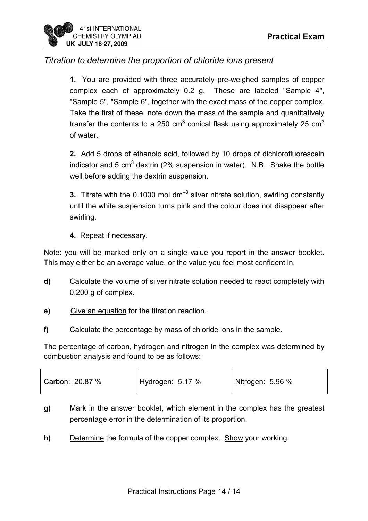#### *Titration to determine the proportion of chloride ions present*

**1.** You are provided with three accurately pre-weighed samples of copper complex each of approximately 0.2 g. These are labeled "Sample 4", "Sample 5", "Sample 6", together with the exact mass of the copper complex. Take the first of these, note down the mass of the sample and quantitatively transfer the contents to a 250 cm<sup>3</sup> conical flask using approximately 25 cm<sup>3</sup> of water.

**2.** Add 5 drops of ethanoic acid, followed by 10 drops of dichlorofluorescein indicator and 5 cm<sup>3</sup> dextrin (2% suspension in water). N.B. Shake the bottle well before adding the dextrin suspension.

**3.** Titrate with the 0.1000 mol dm<sup>-3</sup> silver nitrate solution, swirling constantly until the white suspension turns pink and the colour does not disappear after swirling.

**4.** Repeat if necessary.

Note: you will be marked only on a single value you report in the answer booklet. This may either be an average value, or the value you feel most confident in.

- **d)** Calculate the volume of silver nitrate solution needed to react completely with 0.200 g of complex.
- **e)** Give an equation for the titration reaction.
- **f)** Calculate the percentage by mass of chloride ions in the sample.

The percentage of carbon, hydrogen and nitrogen in the complex was determined by combustion analysis and found to be as follows:

| Carbon: 20.87 % | Hydrogen: 5.17 % | Nitrogen: 5.96 % |
|-----------------|------------------|------------------|
|-----------------|------------------|------------------|

- **g)** Mark in the answer booklet, which element in the complex has the greatest percentage error in the determination of its proportion.
- **h)** Determine the formula of the copper complex. Show your working.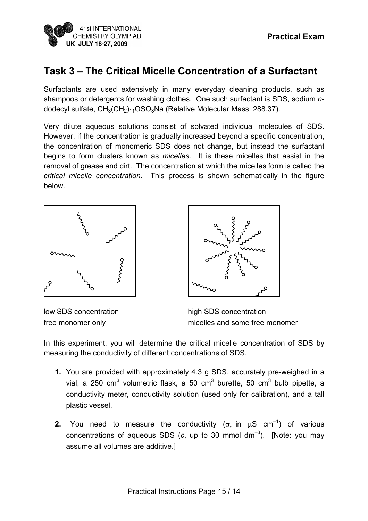#### **Task 3 – The Critical Micelle Concentration of a Surfactant**

Surfactants are used extensively in many everyday cleaning products, such as shampoos or detergents for washing clothes. One such surfactant is SDS, sodium *n*dodecyl sulfate,  $CH_3(CH_2)_{11}OSO_3$ Na (Relative Molecular Mass: 288.37).

Very dilute aqueous solutions consist of solvated individual molecules of SDS. However, if the concentration is gradually increased beyond a specific concentration, the concentration of monomeric SDS does not change, but instead the surfactant begins to form clusters known as *micelles*. It is these micelles that assist in the removal of grease and dirt. The concentration at which the micelles form is called the *critical micelle concentration*. This process is shown schematically in the figure below.



low SDS concentration free monomer only

high SDS concentration micelles and some free monomer

In this experiment, you will determine the critical micelle concentration of SDS by measuring the conductivity of different concentrations of SDS.

- **1.** You are provided with approximately 4.3 g SDS, accurately pre-weighed in a vial, a 250 cm<sup>3</sup> volumetric flask, a 50 cm<sup>3</sup> burette, 50 cm<sup>3</sup> bulb pipette, a conductivity meter, conductivity solution (used only for calibration), and a tall plastic vessel.
- **2.** You need to measure the conductivity ( $\sigma$ , in  $\mu$ S cm<sup>-1</sup>) of various concentrations of aqueous SDS  $(c, up to 30 \text{ mmol dm}^{-3})$ . [Note: you may assume all volumes are additive.]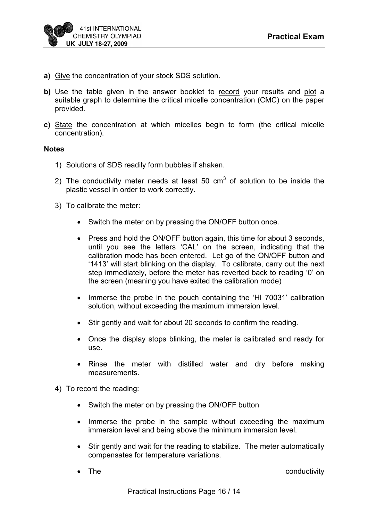

- **a)** Give the concentration of your stock SDS solution.
- **b)** Use the table given in the answer booklet to record your results and plot a suitable graph to determine the critical micelle concentration (CMC) on the paper provided.
- **c)** State the concentration at which micelles begin to form (the critical micelle concentration).

#### **Notes**

- 1) Solutions of SDS readily form bubbles if shaken.
- 2) The conductivity meter needs at least 50  $cm<sup>3</sup>$  of solution to be inside the plastic vessel in order to work correctly.
- 3) To calibrate the meter:
	- Switch the meter on by pressing the ON/OFF button once.
	- Press and hold the ON/OFF button again, this time for about 3 seconds, until you see the letters 'CAL' on the screen, indicating that the calibration mode has been entered. Let go of the ON/OFF button and '1413' will start blinking on the display. To calibrate, carry out the next step immediately, before the meter has reverted back to reading '0' on the screen (meaning you have exited the calibration mode)
	- Immerse the probe in the pouch containing the 'HI 70031' calibration solution, without exceeding the maximum immersion level.
	- Stir gently and wait for about 20 seconds to confirm the reading.
	- Once the display stops blinking, the meter is calibrated and ready for use.
	- Rinse the meter with distilled water and dry before making measurements.
- 4) To record the reading:
	- Switch the meter on by pressing the ON/OFF button
	- Immerse the probe in the sample without exceeding the maximum immersion level and being above the minimum immersion level.
	- Stir gently and wait for the reading to stabilize. The meter automatically compensates for temperature variations.
	-

• The conductivity